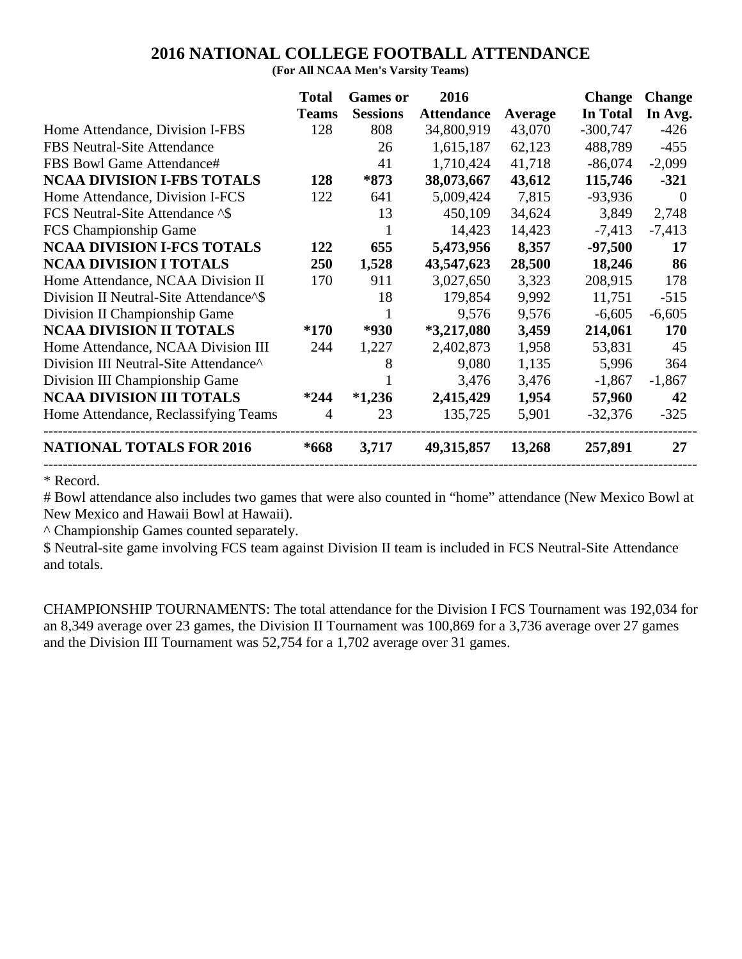#### **2016 NATIONAL COLLEGE FOOTBALL ATTENDANCE**

**(For All NCAA Men's Varsity Teams)**

| In Total<br><b>Sessions</b><br><b>Attendance</b><br>In Avg.<br><b>Average</b><br>34,800,919<br>808<br>$-300,747$<br>$-426$<br>43,070<br>1,615,187<br>488,789<br>$-455$<br>26<br>62,123<br>1,710,424<br>41<br>41,718<br>$-86,074$<br>$-2,099$<br>*873<br>38,073,667<br>43,612<br>115,746<br>$-321$<br>7,815<br>5,009,424<br>$-93,936$<br>641<br>$\Omega$<br>13<br>450,109<br>34,624<br>3,849<br>2,748<br>14,423<br>14,423<br>$-7,413$<br>$-7,413$ |
|--------------------------------------------------------------------------------------------------------------------------------------------------------------------------------------------------------------------------------------------------------------------------------------------------------------------------------------------------------------------------------------------------------------------------------------------------|
|                                                                                                                                                                                                                                                                                                                                                                                                                                                  |
|                                                                                                                                                                                                                                                                                                                                                                                                                                                  |
|                                                                                                                                                                                                                                                                                                                                                                                                                                                  |
|                                                                                                                                                                                                                                                                                                                                                                                                                                                  |
|                                                                                                                                                                                                                                                                                                                                                                                                                                                  |
|                                                                                                                                                                                                                                                                                                                                                                                                                                                  |
|                                                                                                                                                                                                                                                                                                                                                                                                                                                  |
|                                                                                                                                                                                                                                                                                                                                                                                                                                                  |
| 5,473,956<br>8,357<br>655<br>$-97,500$<br>17                                                                                                                                                                                                                                                                                                                                                                                                     |
| 43,547,623<br>1,528<br>28,500<br>86<br>18,246                                                                                                                                                                                                                                                                                                                                                                                                    |
| 208,915<br>911<br>3,027,650<br>3,323<br>178                                                                                                                                                                                                                                                                                                                                                                                                      |
| 18<br>179,854<br>9,992<br>11,751<br>$-515$                                                                                                                                                                                                                                                                                                                                                                                                       |
| 9,576<br>$-6,605$<br>9,576<br>$-6,605$                                                                                                                                                                                                                                                                                                                                                                                                           |
| $*3,217,080$<br>3,459<br>214,061<br>$*930$<br><b>170</b>                                                                                                                                                                                                                                                                                                                                                                                         |
| 1,227<br>2,402,873<br>45<br>1,958<br>53,831                                                                                                                                                                                                                                                                                                                                                                                                      |
| 1,135<br>9,080<br>5,996<br>8<br>364                                                                                                                                                                                                                                                                                                                                                                                                              |
| 3,476<br>3,476<br>$-1,867$<br>$-1,867$                                                                                                                                                                                                                                                                                                                                                                                                           |
| $*1,236$<br>2,415,429<br>1,954<br>42<br>57,960                                                                                                                                                                                                                                                                                                                                                                                                   |
| 23<br>135,725<br>5,901<br>$-325$<br>$-32,376$                                                                                                                                                                                                                                                                                                                                                                                                    |
| 27<br>3,717<br>49, 315, 857<br>13,268<br>257,891                                                                                                                                                                                                                                                                                                                                                                                                 |
|                                                                                                                                                                                                                                                                                                                                                                                                                                                  |

\* Record.

# Bowl attendance also includes two games that were also counted in "home" attendance (New Mexico Bowl at New Mexico and Hawaii Bowl at Hawaii).

^ Championship Games counted separately.

\$ Neutral-site game involving FCS team against Division II team is included in FCS Neutral-Site Attendance and totals.

CHAMPIONSHIP TOURNAMENTS: The total attendance for the Division I FCS Tournament was 192,034 for an 8,349 average over 23 games, the Division II Tournament was 100,869 for a 3,736 average over 27 games and the Division III Tournament was 52,754 for a 1,702 average over 31 games.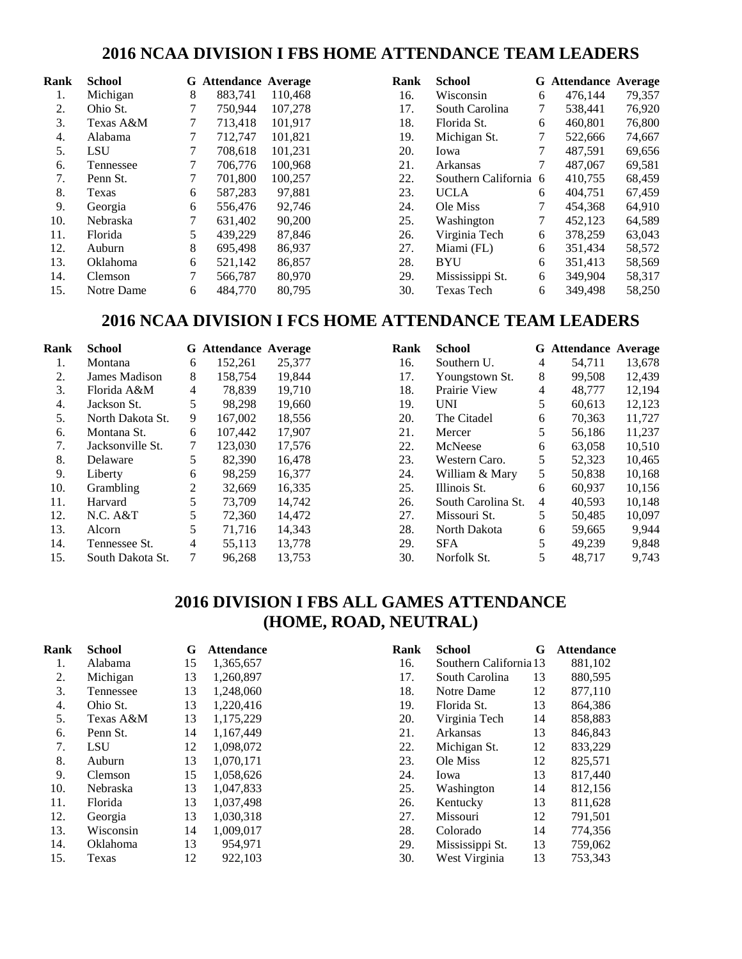#### **2016 NCAA DIVISION I FBS HOME ATTENDANCE TEAM LEADERS**

| Rank | <b>School</b> |   | <b>G</b> Attendance Average |         | Rank | <b>School</b>         |   | <b>G</b> Attendance Average |        |
|------|---------------|---|-----------------------------|---------|------|-----------------------|---|-----------------------------|--------|
| 1.   | Michigan      | 8 | 883.741                     | 110.468 | 16.  | Wisconsin             | 6 | 476.144                     | 79,357 |
| 2.   | Ohio St.      |   | 750.944                     | 107,278 | 17.  | South Carolina        |   | 538,441                     | 76,920 |
| 3.   | Texas A&M     |   | 713.418                     | 101.917 | 18.  | Florida St.           | 6 | 460.801                     | 76,800 |
| 4.   | Alabama       | 7 | 712.747                     | 101,821 | 19.  | Michigan St.          | 7 | 522,666                     | 74,667 |
| 5.   | <b>LSU</b>    |   | 708.618                     | 101,231 | 20.  | Iowa                  |   | 487,591                     | 69,656 |
| 6.   | Tennessee     |   | 706.776                     | 100.968 | 21.  | Arkansas              |   | 487,067                     | 69,581 |
| 7.   | Penn St.      | 7 | 701.800                     | 100,257 | 22.  | Southern California 6 |   | 410,755                     | 68,459 |
| 8.   | Texas         | 6 | 587,283                     | 97,881  | 23.  | <b>UCLA</b>           | 6 | 404,751                     | 67,459 |
| 9.   | Georgia       | 6 | 556,476                     | 92,746  | 24.  | Ole Miss              | 7 | 454,368                     | 64,910 |
| 10.  | Nebraska      | 7 | 631,402                     | 90,200  | 25.  | Washington            | 7 | 452,123                     | 64,589 |
| 11.  | Florida       | 5 | 439,229                     | 87,846  | 26.  | Virginia Tech         | 6 | 378,259                     | 63,043 |
| 12.  | Auburn        | 8 | 695.498                     | 86,937  | 27.  | Miami (FL)            | 6 | 351.434                     | 58,572 |
| 13.  | Oklahoma      | 6 | 521,142                     | 86,857  | 28.  | <b>BYU</b>            | 6 | 351,413                     | 58,569 |
| 14.  | Clemson       |   | 566,787                     | 80,970  | 29.  | Mississippi St.       | 6 | 349.904                     | 58,317 |
| 15.  | Notre Dame    | 6 | 484,770                     | 80,795  | 30.  | <b>Texas Tech</b>     | 6 | 349.498                     | 58,250 |

#### **2016 NCAA DIVISION I FCS HOME ATTENDANCE TEAM LEADERS**

| Rank | <b>School</b>    |   | <b>G</b> Attendance Average |        | Rank | <b>School</b>      |   | <b>G</b> Attendance Average |        |
|------|------------------|---|-----------------------------|--------|------|--------------------|---|-----------------------------|--------|
| 1.   | Montana          | 6 | 152,261                     | 25,377 | 16.  | Southern U.        | 4 | 54,711                      | 13,678 |
| 2.   | James Madison    | 8 | 158.754                     | 19,844 | 17.  | Youngstown St.     | 8 | 99.508                      | 12,439 |
| 3.   | Florida A&M      | 4 | 78.839                      | 19,710 | 18.  | Prairie View       | 4 | 48.777                      | 12,194 |
| 4.   | Jackson St.      | 5 | 98.298                      | 19,660 | 19.  | <b>UNI</b>         | 5 | 60,613                      | 12,123 |
| 5.   | North Dakota St. | 9 | 167,002                     | 18,556 | 20.  | The Citadel        | 6 | 70.363                      | 11,727 |
| 6.   | Montana St.      | 6 | 107,442                     | 17,907 | 21.  | Mercer             | 5 | 56.186                      | 11,237 |
| 7.   | Jacksonville St. | 7 | 123,030                     | 17,576 | 22.  | McNeese            | 6 | 63,058                      | 10,510 |
| 8.   | Delaware         | 5 | 82,390                      | 16,478 | 23.  | Western Caro.      | 5 | 52,323                      | 10,465 |
| 9.   | Liberty          | 6 | 98.259                      | 16,377 | 24.  | William & Mary     | 5 | 50,838                      | 10,168 |
| 10.  | <b>Grambling</b> | 2 | 32,669                      | 16,335 | 25.  | Illinois St.       | 6 | 60,937                      | 10,156 |
| 11.  | Harvard          | 5 | 73,709                      | 14.742 | 26.  | South Carolina St. | 4 | 40,593                      | 10,148 |
| 12.  | N.C. A&T         | 5 | 72,360                      | 14.472 | 27.  | Missouri St.       | 5 | 50.485                      | 10,097 |
| 13.  | Alcorn           |   | 71.716                      | 14,343 | 28.  | North Dakota       | 6 | 59,665                      | 9,944  |
| 14.  | Tennessee St.    | 4 | 55,113                      | 13,778 | 29.  | <b>SFA</b>         | 5 | 49,239                      | 9,848  |
| 15.  | South Dakota St. |   | 96.268                      | 13,753 | 30.  | Norfolk St.        |   | 48.717                      | 9,743  |

### **2016 DIVISION I FBS ALL GAMES ATTENDANCE (HOME, ROAD, NEUTRAL)**

| Rank | <b>School</b> | G  | <b>Attendance</b> | Rank | <b>School</b>          | G  | <b>Attendance</b> |
|------|---------------|----|-------------------|------|------------------------|----|-------------------|
| 1.   | Alabama       | 15 | 1,365,657         | 16.  | Southern California 13 |    | 881,102           |
| 2.   | Michigan      | 13 | 1,260,897         | 17.  | South Carolina         | 13 | 880,595           |
| 3.   | Tennessee     | 13 | 1,248,060         | 18.  | Notre Dame             | 12 | 877,110           |
| 4.   | Ohio St.      | 13 | 1,220,416         | 19.  | Florida St.            | 13 | 864,386           |
| 5.   | Texas A&M     | 13 | 1,175,229         | 20.  | Virginia Tech          | 14 | 858,883           |
| 6.   | Penn St.      | 14 | 1,167,449         | 21.  | Arkansas               | 13 | 846,843           |
| 7.   | <b>LSU</b>    | 12 | 1,098,072         | 22.  | Michigan St.           | 12 | 833,229           |
| 8.   | Auburn        | 13 | 1,070,171         | 23.  | Ole Miss               | 12 | 825,571           |
| 9.   | Clemson       | 15 | 1,058,626         | 24.  | Iowa                   | 13 | 817,440           |
| 10.  | Nebraska      | 13 | 1,047,833         | 25.  | Washington             | 14 | 812,156           |
| 11.  | Florida       | 13 | 1,037,498         | 26.  | Kentucky               | 13 | 811,628           |
| 12.  | Georgia       | 13 | 1,030,318         | 27.  | Missouri               | 12 | 791,501           |
| 13.  | Wisconsin     | 14 | 1,009,017         | 28.  | Colorado               | 14 | 774,356           |
| 14.  | Oklahoma      | 13 | 954,971           | 29.  | Mississippi St.        | 13 | 759,062           |
| 15.  | Texas         | 12 | 922,103           | 30.  | West Virginia          | 13 | 753,343           |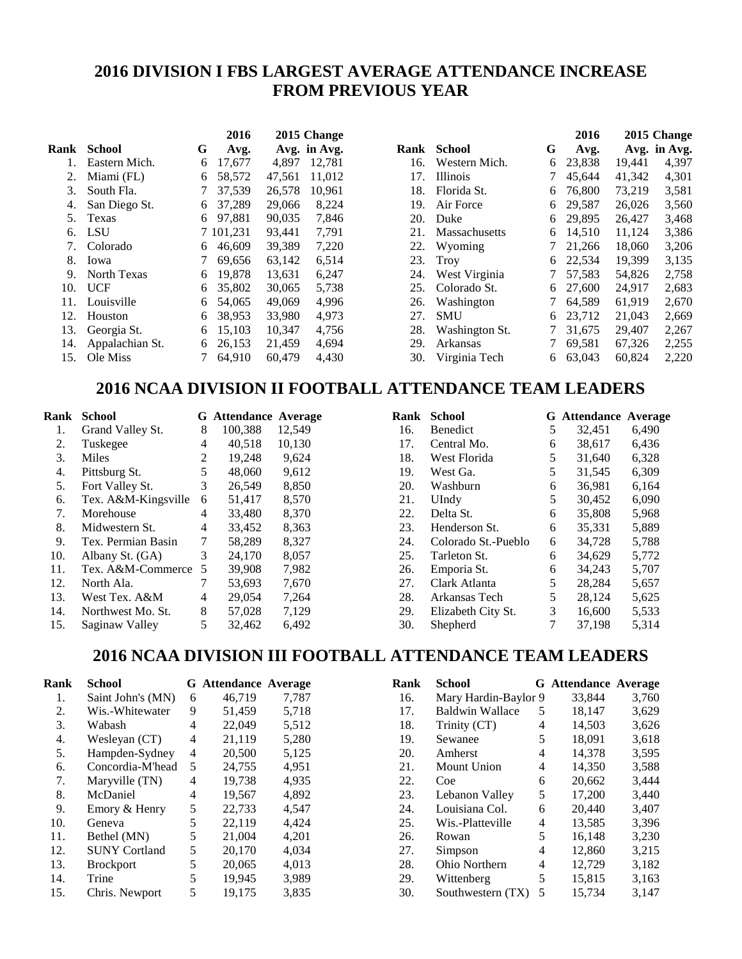### **2016 DIVISION I FBS LARGEST AVERAGE ATTENDANCE INCREASE FROM PREVIOUS YEAR**

|      |                    |   | 2016    |        | 2015 Change  |
|------|--------------------|---|---------|--------|--------------|
| Rank | School             | G | Avg.    |        | Avg. in Avg. |
| 1.   | Eastern Mich.      | 6 | 17,677  | 4,897  | 12,781       |
| 2.   | Miami (FL)         | 6 | 58,572  | 47.561 | 11,012       |
| 3.   | South Fla.         | 7 | 37,539  | 26,578 | 10,961       |
| 4.   | San Diego St.      | 6 | 37,289  | 29,066 | 8,224        |
| 5.   | Texas              | 6 | 97.881  | 90,035 | 7,846        |
| б.   | <b>LSU</b>         | 7 | 101,231 | 93,441 | 7,791        |
| 7.   | Colorado           | 6 | 46,609  | 39,389 | 7,220        |
| 8.   | Iowa               | 7 | 69,656  | 63,142 | 6,514        |
| 9.   | <b>North Texas</b> | 6 | 19.878  | 13.631 | 6,247        |
| 10.  | <b>UCF</b>         | 6 | 35,802  | 30,065 | 5,738        |
| 11.  | Louisville         | 6 | 54,065  | 49,069 | 4,996        |
| 12.  | Houston            | 6 | 38,953  | 33,980 | 4,973        |
| 13.  | Georgia St.        | 6 | 15,103  | 10,347 | 4,756        |
| 14.  | Appalachian St.    | 6 | 26.153  | 21,459 | 4,694        |
| 15.  | Ole Miss           | 7 | 64,910  | 60,479 | 4,430        |

|                |   | 2016   |        | 2015 Change                                                                  |
|----------------|---|--------|--------|------------------------------------------------------------------------------|
| School         | G | Avg.   |        | Avg. in Avg.                                                                 |
| Western Mich.  | 6 | 23,838 | 19,441 | 4,397                                                                        |
| Illinois       | 7 | 45,644 |        | 4,301                                                                        |
| Florida St.    | 6 | 76.800 |        | 3,581                                                                        |
| Air Force      | 6 | 29,587 |        | 3,560                                                                        |
| Duke           | 6 | 29,895 |        | 3,468                                                                        |
| Massachusetts  | 6 | 14.510 |        | 3,386                                                                        |
| Wyoming        | 7 | 21,266 |        | 3,206                                                                        |
| Troy           | 6 | 22,534 | 19,399 | 3,135                                                                        |
| West Virginia  | 7 | 57,583 | 54,826 | 2,758                                                                        |
| Colorado St.   | 6 | 27,600 | 24,917 | 2,683                                                                        |
| Washington     | 7 | 64,589 | 61,919 | 2,670                                                                        |
| SMU            | 6 | 23,712 |        | 2,669                                                                        |
| Washington St. | 7 | 31,675 | 29,407 | 2,267                                                                        |
| Arkansas       | 7 | 69,581 |        | 2,255                                                                        |
| Virginia Tech  | 6 | 63.043 | 60.824 | 2,220                                                                        |
|                |   |        |        | 41,342<br>73,219<br>26,026<br>26,427<br>11,124<br>18,060<br>21,043<br>67,326 |

#### **2016 NCAA DIVISION II FOOTBALL ATTENDANCE TEAM LEADERS**

| Rank | School              |   | <b>G</b> Attendance | Average |
|------|---------------------|---|---------------------|---------|
| 1.   | Grand Valley St.    | 8 | 100,388             | 12,549  |
| 2.   | Tuskegee            | 4 | 40,518              | 10,130  |
| 3.   | Miles               | 2 | 19,248              | 9,624   |
| 4.   | Pittsburg St.       | 5 | 48,060              | 9,612   |
| 5.   | Fort Valley St.     | 3 | 26,549              | 8,850   |
| 6.   | Tex. A&M-Kingsville | 6 | 51,417              | 8,570   |
| 7.   | Morehouse           | 4 | 33,480              | 8,370   |
| 8.   | Midwestern St.      | 4 | 33,452              | 8,363   |
| 9.   | Tex. Permian Basin  | 7 | 58,289              | 8,327   |
| 10.  | Albany St. (GA)     | 3 | 24,170              | 8,057   |
| 11.  | Tex. A&M-Commerce   | 5 | 39,908              | 7,982   |
| 12.  | North Ala.          | 7 | 53,693              | 7,670   |
| 13.  | West Tex. A&M       | 4 | 29,054              | 7,264   |
| 14.  | Northwest Mo. St.   | 8 | 57,028              | 7,129   |
| 15.  | Saginaw Valley      | 5 | 32,462              | 6,492   |

| Rank | School              |   | <b>G</b> Attendance | Average |
|------|---------------------|---|---------------------|---------|
| 16.  | Benedict            | 5 | 32,451              | 6,490   |
| 17.  | Central Mo.         | 6 | 38,617              | 6,436   |
| 18.  | West Florida        | 5 | 31,640              | 6,328   |
| 19.  | West Ga.            | 5 | 31,545              | 6,309   |
| 20.  | Washburn            | 6 | 36,981              | 6,164   |
| 21.  | UIndy               | 5 | 30,452              | 6,090   |
| 22.  | Delta St.           | 6 | 35,808              | 5,968   |
| 23.  | Henderson St.       | 6 | 35,331              | 5,889   |
| 24.  | Colorado St.-Pueblo | 6 | 34,728              | 5,788   |
| 25.  | Tarleton St.        | 6 | 34,629              | 5,772   |
| 26.  | Emporia St.         | 6 | 34,243              | 5,707   |
| 27.  | Clark Atlanta       | 5 | 28,284              | 5,657   |
| 28.  | Arkansas Tech       | 5 | 28,124              | 5,625   |
| 29.  | Elizabeth City St.  | 3 | 16,600              | 5,533   |
| 30.  | Shepherd            | 7 | 37,198              | 5,314   |

## **2016 NCAA DIVISION III FOOTBALL ATTENDANCE TEAM LEADERS**

| Rank | <b>School</b>        |   | <b>G</b> Attendance Average |       | ${\bf R}$                |
|------|----------------------|---|-----------------------------|-------|--------------------------|
| 1.   | Saint John's (MN)    | 6 | 46,719                      | 7,787 | 1                        |
| 2.   | Wis.-Whitewater      | 9 | 51,459                      | 5,718 | 1                        |
| 3.   | Wabash               | 4 | 22,049                      | 5,512 |                          |
| 4.   | Wesleyan (CT)        | 4 | 21,119                      | 5,280 | 1                        |
| 5.   | Hampden-Sydney       | 4 | 20,500                      | 5,125 | $\overline{\mathbf{c}}$  |
| 6.   | Concordia-M'head     | 5 | 24,755                      | 4,951 | $\overline{a}$           |
| 7.   | Maryville (TN)       | 4 | 19,738                      | 4,935 | $\overline{\mathbf{c}}$  |
| 8.   | McDaniel             | 4 | 19,567                      | 4,892 | $\overline{c}$           |
| 9.   | Emory & Henry        | 5 | 22,733                      | 4,547 | $\overline{c}$           |
| 10.  | Geneva               | 5 | 22,119                      | 4,424 | $\overline{c}$           |
| 11.  | Bethel (MN)          | 5 | 21,004                      | 4,201 | $\overline{c}$           |
| 12.  | <b>SUNY Cortland</b> | 5 | 20,170                      | 4,034 | $\overline{c}$           |
| 13.  | <b>Brockport</b>     | 5 | 20,065                      | 4,013 | $\overline{\mathbf{c}}$  |
| 14.  | Trine                | 5 | 19,945                      | 3,989 | $\overline{\phantom{a}}$ |
| 15.  | Chris. Newport       | 5 | 19,175                      | 3,835 | 3                        |

| Rank | <b>School</b>          |   | <b>G</b> Attendance Average |       |
|------|------------------------|---|-----------------------------|-------|
| 16.  | Mary Hardin-Baylor 9   |   | 33,844                      | 3,760 |
| 17.  | <b>Baldwin Wallace</b> | 5 | 18,147                      | 3,629 |
| 18.  | Trinity (CT)           | 4 | 14,503                      | 3,626 |
| 19.  | Sewanee                | 5 | 18,091                      | 3,618 |
| 20.  | Amherst                | 4 | 14,378                      | 3,595 |
| 21.  | <b>Mount Union</b>     | 4 | 14,350                      | 3,588 |
| 22.  | Coe                    | 6 | 20.662                      | 3.444 |
| 23.  | Lebanon Valley         | 5 | 17,200                      | 3,440 |
| 24.  | Louisiana Col.         | 6 | 20,440                      | 3,407 |
| 25.  | Wis.-Platteville       | 4 | 13,585                      | 3,396 |
| 26.  | Rowan                  | 5 | 16,148                      | 3,230 |
| 27.  | Simpson                | 4 | 12,860                      | 3,215 |
| 28.  | Ohio Northern          | 4 | 12,729                      | 3,182 |
| 29.  | Wittenberg             | 5 | 15,815                      | 3,163 |
| 30.  | Southwestern (TX)      | 5 | 15,734                      | 3.147 |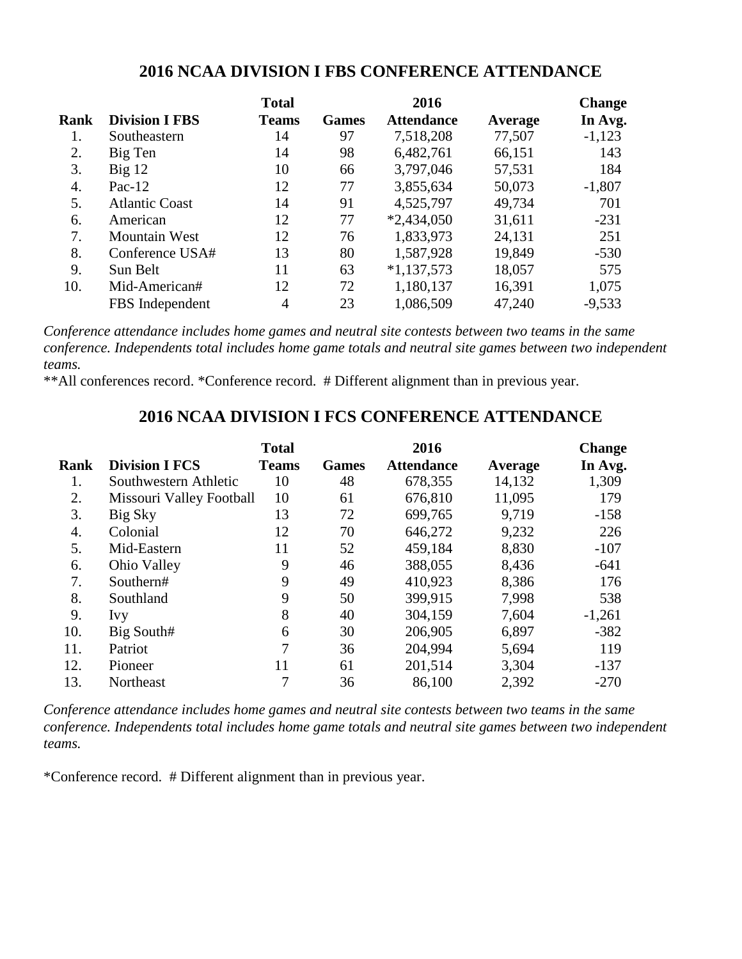#### **2016 NCAA DIVISION I FBS CONFERENCE ATTENDANCE**

|      |                       | <b>Total</b> |              | 2016              |         | <b>Change</b> |
|------|-----------------------|--------------|--------------|-------------------|---------|---------------|
| Rank | <b>Division I FBS</b> | <b>Teams</b> | <b>Games</b> | <b>Attendance</b> | Average | In Avg.       |
| 1.   | Southeastern          | 14           | 97           | 7,518,208         | 77,507  | $-1,123$      |
| 2.   | Big Ten               | 14           | 98           | 6,482,761         | 66,151  | 143           |
| 3.   | $Big$ 12              | 10           | 66           | 3,797,046         | 57,531  | 184           |
| 4.   | Pac- $12$             | 12           | 77           | 3,855,634         | 50,073  | $-1,807$      |
| 5.   | <b>Atlantic Coast</b> | 14           | 91           | 4,525,797         | 49,734  | 701           |
| 6.   | American              | 12           | 77           | $*2,434,050$      | 31,611  | $-231$        |
| 7.   | <b>Mountain West</b>  | 12           | 76           | 1,833,973         | 24,131  | 251           |
| 8.   | Conference USA#       | 13           | 80           | 1,587,928         | 19,849  | $-530$        |
| 9.   | Sun Belt              | 11           | 63           | $*1,137,573$      | 18,057  | 575           |
| 10.  | Mid-American#         | 12           | 72           | 1,180,137         | 16,391  | 1,075         |
|      | FBS Independent       | 4            | 23           | 1,086,509         | 47,240  | $-9,533$      |

*Conference attendance includes home games and neutral site contests between two teams in the same conference. Independents total includes home game totals and neutral site games between two independent teams.*

\*\*All conferences record. \*Conference record. # Different alignment than in previous year.

#### **2016 NCAA DIVISION I FCS CONFERENCE ATTENDANCE**

|             |                          | <b>Total</b> |              | 2016              |         | <b>Change</b> |
|-------------|--------------------------|--------------|--------------|-------------------|---------|---------------|
| <b>Rank</b> | <b>Division I FCS</b>    | <b>Teams</b> | <b>Games</b> | <b>Attendance</b> | Average | In Avg.       |
| 1.          | Southwestern Athletic    | 10           | 48           | 678,355           | 14,132  | 1,309         |
| 2.          | Missouri Valley Football | 10           | 61           | 676,810           | 11,095  | 179           |
| 3.          | Big Sky                  | 13           | 72           | 699,765           | 9.719   | $-158$        |
| 4.          | Colonial                 | 12           | 70           | 646,272           | 9,232   | 226           |
| 5.          | Mid-Eastern              | 11           | 52           | 459,184           | 8,830   | $-107$        |
| 6.          | Ohio Valley              | 9            | 46           | 388,055           | 8,436   | $-641$        |
| 7.          | Southern#                | 9            | 49           | 410,923           | 8,386   | 176           |
| 8.          | Southland                | 9            | 50           | 399,915           | 7,998   | 538           |
| 9.          | <b>Ivy</b>               | 8            | 40           | 304,159           | 7,604   | $-1,261$      |
| 10.         | Big South#               | 6            | 30           | 206,905           | 6,897   | $-382$        |
| 11.         | Patriot                  | 7            | 36           | 204,994           | 5,694   | 119           |
| 12.         | Pioneer                  | 11           | 61           | 201,514           | 3,304   | $-137$        |
| 13.         | Northeast                | 7            | 36           | 86,100            | 2,392   | $-270$        |

*Conference attendance includes home games and neutral site contests between two teams in the same conference. Independents total includes home game totals and neutral site games between two independent teams.* 

\*Conference record. # Different alignment than in previous year.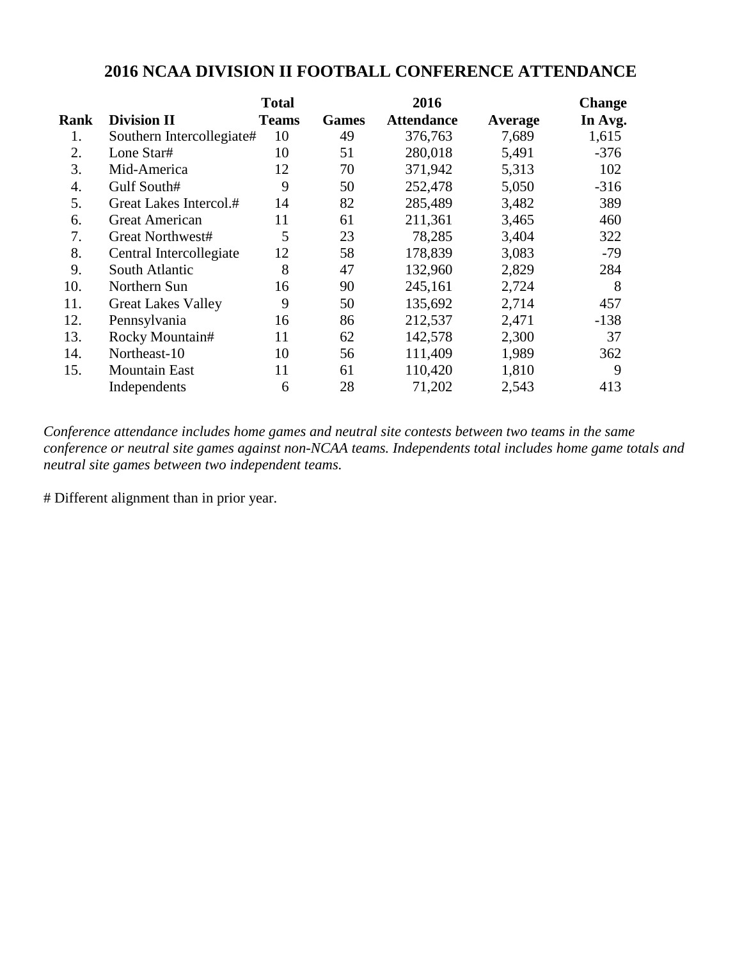### **2016 NCAA DIVISION II FOOTBALL CONFERENCE ATTENDANCE**

|      |                           | <b>Total</b> |              | 2016              |         | <b>Change</b> |
|------|---------------------------|--------------|--------------|-------------------|---------|---------------|
| Rank | <b>Division II</b>        | <b>Teams</b> | <b>Games</b> | <b>Attendance</b> | Average | In Avg.       |
| 1.   | Southern Intercollegiate# | 10           | 49           | 376,763           | 7,689   | 1,615         |
| 2.   | Lone Star#                | 10           | 51           | 280,018           | 5,491   | $-376$        |
| 3.   | Mid-America               | 12           | 70           | 371,942           | 5,313   | 102           |
| 4.   | Gulf South#               | 9            | 50           | 252,478           | 5,050   | $-316$        |
| 5.   | Great Lakes Intercol.#    | 14           | 82           | 285,489           | 3,482   | 389           |
| 6.   | <b>Great American</b>     | 11           | 61           | 211,361           | 3,465   | 460           |
| 7.   | Great Northwest#          | 5            | 23           | 78,285            | 3,404   | 322           |
| 8.   | Central Intercollegiate   | 12           | 58           | 178,839           | 3,083   | $-79$         |
| 9.   | South Atlantic            | 8            | 47           | 132,960           | 2,829   | 284           |
| 10.  | Northern Sun              | 16           | 90           | 245,161           | 2,724   | 8             |
| 11.  | <b>Great Lakes Valley</b> | 9            | 50           | 135,692           | 2,714   | 457           |
| 12.  | Pennsylvania              | 16           | 86           | 212,537           | 2,471   | $-138$        |
| 13.  | Rocky Mountain#           | 11           | 62           | 142,578           | 2,300   | 37            |
| 14.  | Northeast-10              | 10           | 56           | 111,409           | 1,989   | 362           |
| 15.  | <b>Mountain East</b>      | 11           | 61           | 110,420           | 1,810   | 9             |
|      | Independents              | 6            | 28           | 71,202            | 2,543   | 413           |

*Conference attendance includes home games and neutral site contests between two teams in the same conference or neutral site games against non-NCAA teams. Independents total includes home game totals and neutral site games between two independent teams.* 

# Different alignment than in prior year.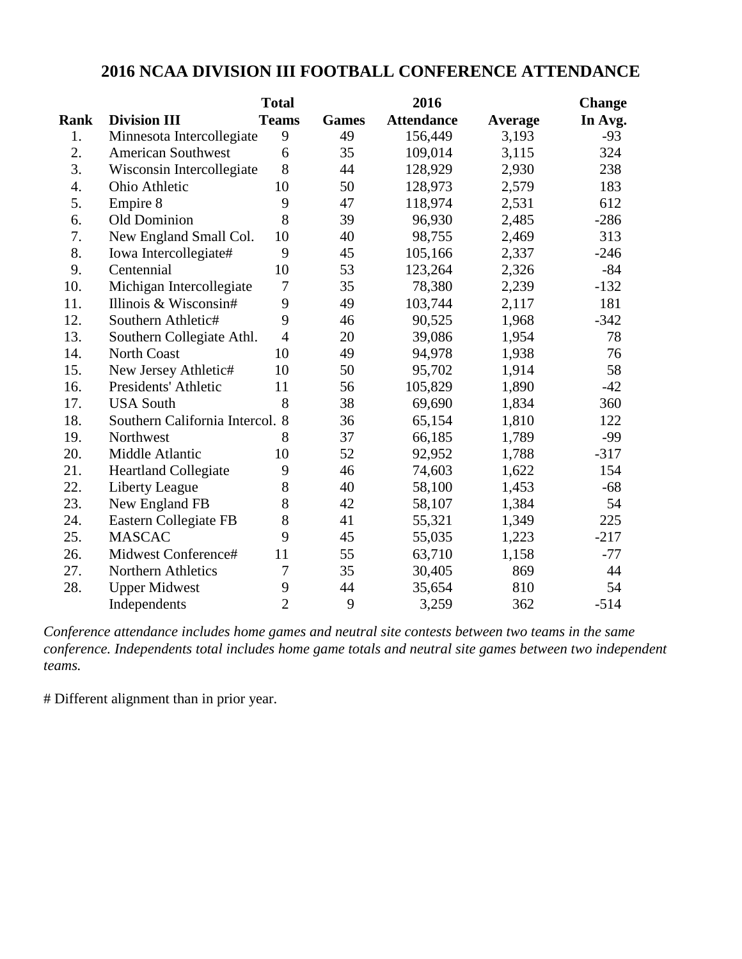### **2016 NCAA DIVISION III FOOTBALL CONFERENCE ATTENDANCE**

|             |                                 | <b>Total</b>   |              | 2016              |         | <b>Change</b> |
|-------------|---------------------------------|----------------|--------------|-------------------|---------|---------------|
| <b>Rank</b> | <b>Division III</b>             | <b>Teams</b>   | <b>Games</b> | <b>Attendance</b> | Average | In Avg.       |
| 1.          | Minnesota Intercollegiate       | 9              | 49           | 156,449           | 3,193   | $-93$         |
| 2.          | <b>American Southwest</b>       | 6              | 35           | 109,014           | 3,115   | 324           |
| 3.          | Wisconsin Intercollegiate       | 8              | 44           | 128,929           | 2,930   | 238           |
| 4.          | Ohio Athletic                   | 10             | 50           | 128,973           | 2,579   | 183           |
| 5.          | Empire 8                        | 9              | 47           | 118,974           | 2,531   | 612           |
| 6.          | Old Dominion                    | 8              | 39           | 96,930            | 2,485   | $-286$        |
| 7.          | New England Small Col.          | 10             | 40           | 98,755            | 2,469   | 313           |
| 8.          | Iowa Intercollegiate#           | 9              | 45           | 105,166           | 2,337   | $-246$        |
| 9.          | Centennial                      | 10             | 53           | 123,264           | 2,326   | $-84$         |
| 10.         | Michigan Intercollegiate        | $\tau$         | 35           | 78,380            | 2,239   | $-132$        |
| 11.         | Illinois & Wisconsin#           | 9              | 49           | 103,744           | 2,117   | 181           |
| 12.         | Southern Athletic#              | 9              | 46           | 90,525            | 1,968   | $-342$        |
| 13.         | Southern Collegiate Athl.       | $\overline{4}$ | 20           | 39,086            | 1,954   | 78            |
| 14.         | <b>North Coast</b>              | 10             | 49           | 94,978            | 1,938   | 76            |
| 15.         | New Jersey Athletic#            | 10             | 50           | 95,702            | 1,914   | 58            |
| 16.         | Presidents' Athletic            | 11             | 56           | 105,829           | 1,890   | $-42$         |
| 17.         | <b>USA South</b>                | 8              | 38           | 69,690            | 1,834   | 360           |
| 18.         | Southern California Intercol. 8 |                | 36           | 65,154            | 1,810   | 122           |
| 19.         | Northwest                       | 8              | 37           | 66,185            | 1,789   | $-99$         |
| 20.         | Middle Atlantic                 | 10             | 52           | 92,952            | 1,788   | $-317$        |
| 21.         | <b>Heartland Collegiate</b>     | 9              | 46           | 74,603            | 1,622   | 154           |
| 22.         | <b>Liberty League</b>           | 8              | 40           | 58,100            | 1,453   | $-68$         |
| 23.         | New England FB                  | 8              | 42           | 58,107            | 1,384   | 54            |
| 24.         | Eastern Collegiate FB           | 8              | 41           | 55,321            | 1,349   | 225           |
| 25.         | <b>MASCAC</b>                   | 9              | 45           | 55,035            | 1,223   | $-217$        |
| 26.         | Midwest Conference#             | 11             | 55           | 63,710            | 1,158   | $-77$         |
| 27.         | Northern Athletics              | 7              | 35           | 30,405            | 869     | 44            |
| 28.         | <b>Upper Midwest</b>            | 9              | 44           | 35,654            | 810     | 54            |
|             | Independents                    | $\overline{2}$ | 9            | 3,259             | 362     | $-514$        |

*Conference attendance includes home games and neutral site contests between two teams in the same conference. Independents total includes home game totals and neutral site games between two independent teams.* 

# Different alignment than in prior year.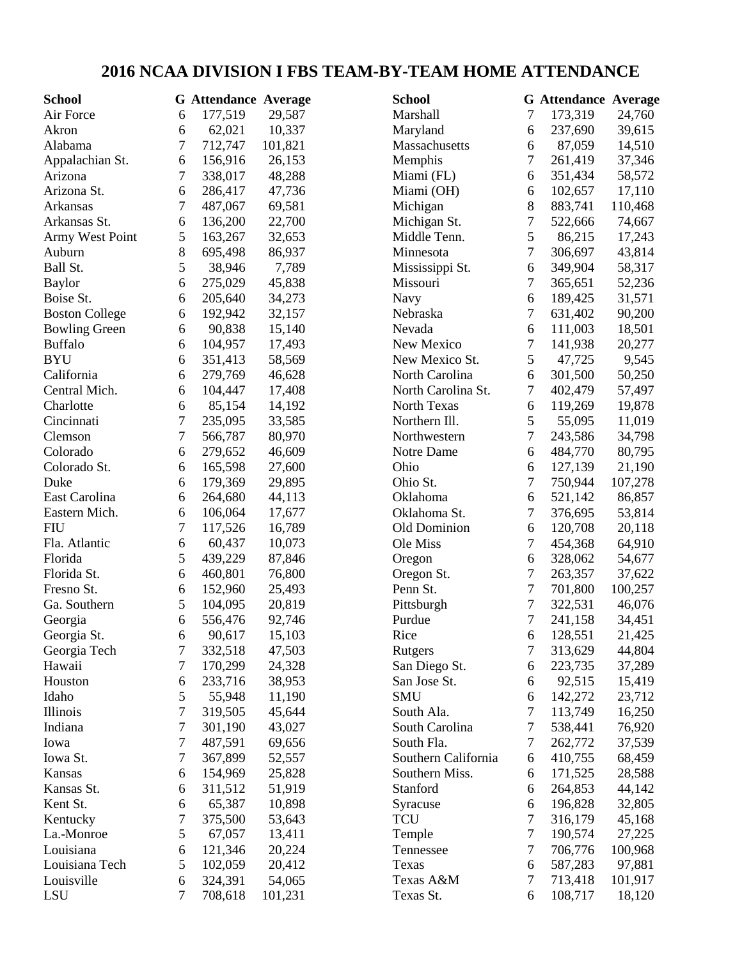# **2016 NCAA DIVISION I FBS TEAM-BY-TEAM HOME ATTENDANCE**

| <b>School</b>         |                  | <b>G</b> Attendance Average |         | <b>School</b>       |                  | <b>G</b> Attendance Average |         |
|-----------------------|------------------|-----------------------------|---------|---------------------|------------------|-----------------------------|---------|
| Air Force             | 6                | 177,519                     | 29,587  | Marshall            | 7                | 173,319                     | 24,760  |
| Akron                 | 6                | 62,021                      | 10,337  | Maryland            | 6                | 237,690                     | 39,615  |
| Alabama               | 7                | 712,747                     | 101,821 | Massachusetts       | 6                | 87,059                      | 14,510  |
| Appalachian St.       | 6                | 156,916                     | 26,153  | Memphis             | 7                | 261,419                     | 37,346  |
| Arizona               | 7                | 338,017                     | 48,288  | Miami (FL)          | 6                | 351,434                     | 58,572  |
| Arizona St.           | 6                | 286,417                     | 47,736  | Miami (OH)          | 6                | 102,657                     | 17,110  |
| Arkansas              | 7                | 487,067                     | 69,581  | Michigan            | 8                | 883,741                     | 110,468 |
| Arkansas St.          | 6                | 136,200                     | 22,700  | Michigan St.        | 7                | 522,666                     | 74,667  |
| Army West Point       | 5                | 163,267                     | 32,653  | Middle Tenn.        | 5                | 86,215                      | 17,243  |
| Auburn                | 8                | 695,498                     | 86,937  | Minnesota           | 7                | 306,697                     | 43,814  |
| Ball St.              | 5                | 38,946                      | 7,789   | Mississippi St.     | $\boldsymbol{6}$ | 349,904                     | 58,317  |
| <b>Baylor</b>         | 6                | 275,029                     | 45,838  | Missouri            | 7                | 365,651                     | 52,236  |
| Boise St.             | 6                | 205,640                     | 34,273  | Navy                | 6                | 189,425                     | 31,571  |
| <b>Boston College</b> | 6                | 192,942                     | 32,157  | Nebraska            | 7                | 631,402                     | 90,200  |
| <b>Bowling Green</b>  | 6                | 90,838                      | 15,140  | Nevada              | 6                | 111,003                     | 18,501  |
| <b>Buffalo</b>        | 6                | 104,957                     | 17,493  | New Mexico          | 7                | 141,938                     | 20,277  |
| <b>BYU</b>            | 6                | 351,413                     | 58,569  | New Mexico St.      | 5                | 47,725                      | 9,545   |
| California            | 6                | 279,769                     | 46,628  | North Carolina      | 6                | 301,500                     | 50,250  |
| Central Mich.         | 6                | 104,447                     | 17,408  | North Carolina St.  | 7                | 402,479                     | 57,497  |
| Charlotte             | 6                | 85,154                      | 14,192  | North Texas         | 6                | 119,269                     | 19,878  |
| Cincinnati            | 7                | 235,095                     | 33,585  | Northern Ill.       | 5                | 55,095                      | 11,019  |
| Clemson               | 7                | 566,787                     | 80,970  | Northwestern        | $\tau$           | 243,586                     | 34,798  |
| Colorado              | 6                | 279,652                     | 46,609  | Notre Dame          | 6                | 484,770                     | 80,795  |
| Colorado St.          | 6                | 165,598                     | 27,600  | Ohio                | 6                | 127,139                     | 21,190  |
| Duke                  | 6                | 179,369                     | 29,895  | Ohio St.            | 7                | 750,944                     | 107,278 |
| East Carolina         | 6                | 264,680                     | 44,113  | Oklahoma            | 6                | 521,142                     | 86,857  |
| Eastern Mich.         | 6                | 106,064                     | 17,677  | Oklahoma St.        | 7                | 376,695                     | 53,814  |
| <b>FIU</b>            | 7                | 117,526                     | 16,789  | Old Dominion        | 6                | 120,708                     | 20,118  |
| Fla. Atlantic         | 6                | 60,437                      | 10,073  | Ole Miss            | 7                | 454,368                     | 64,910  |
| Florida               | 5                | 439,229                     | 87,846  |                     | 6                | 328,062                     | 54,677  |
| Florida St.           | 6                | 460,801                     |         | Oregon              | 7                | 263,357                     |         |
|                       |                  |                             | 76,800  | Oregon St.          |                  |                             | 37,622  |
| Fresno St.            | 6                | 152,960                     | 25,493  | Penn St.            | 7                | 701,800                     | 100,257 |
| Ga. Southern          | 5                | 104,095                     | 20,819  | Pittsburgh          | $\tau$           | 322,531                     | 46,076  |
| Georgia               | 6                | 556,476                     | 92,746  | Purdue              | 7                | 241,158                     | 34,451  |
| Georgia St.           | 6                | 90,617                      | 15,103  | Rice                | 6                | 128,551                     | 21,425  |
| Georgia Tech          | 7                | 332,518                     | 47,503  | Rutgers             | 7                | 313,629                     | 44,804  |
| Hawaii                | 7                | 170,299                     | 24,328  | San Diego St.       | 6                | 223,735                     | 37,289  |
| Houston               | 6                | 233,716                     | 38,953  | San Jose St.        | 6                | 92,515                      | 15,419  |
| Idaho                 | 5                | 55,948                      | 11,190  | <b>SMU</b>          | 6                | 142,272                     | 23,712  |
| Illinois              | $\boldsymbol{7}$ | 319,505                     | 45,644  | South Ala.          | 7                | 113,749                     | 16,250  |
| Indiana               | 7                | 301,190                     | 43,027  | South Carolina      | 7                | 538,441                     | 76,920  |
| Iowa                  | 7                | 487,591                     | 69,656  | South Fla.          | 7                | 262,772                     | 37,539  |
| Iowa St.              | 7                | 367,899                     | 52,557  | Southern California | 6                | 410,755                     | 68,459  |
| Kansas                | 6                | 154,969                     | 25,828  | Southern Miss.      | 6                | 171,525                     | 28,588  |
| Kansas St.            | 6                | 311,512                     | 51,919  | Stanford            | 6                | 264,853                     | 44,142  |
| Kent St.              | 6                | 65,387                      | 10,898  | Syracuse            | 6                | 196,828                     | 32,805  |
| Kentucky              | 7                | 375,500                     | 53,643  | <b>TCU</b>          | 7                | 316,179                     | 45,168  |
| La.-Monroe            | 5                | 67,057                      | 13,411  | Temple              | $\tau$           | 190,574                     | 27,225  |
| Louisiana             | 6                | 121,346                     | 20,224  | Tennessee           | $\tau$           | 706,776                     | 100,968 |
| Louisiana Tech        | 5                | 102,059                     | 20,412  | Texas               | 6                | 587,283                     | 97,881  |
| Louisville            | 6                | 324,391                     | 54,065  | Texas A&M           | 7                | 713,418                     | 101,917 |
| LSU                   | 7                | 708,618                     | 101,231 | Texas St.           | 6                | 108,717                     | 18,120  |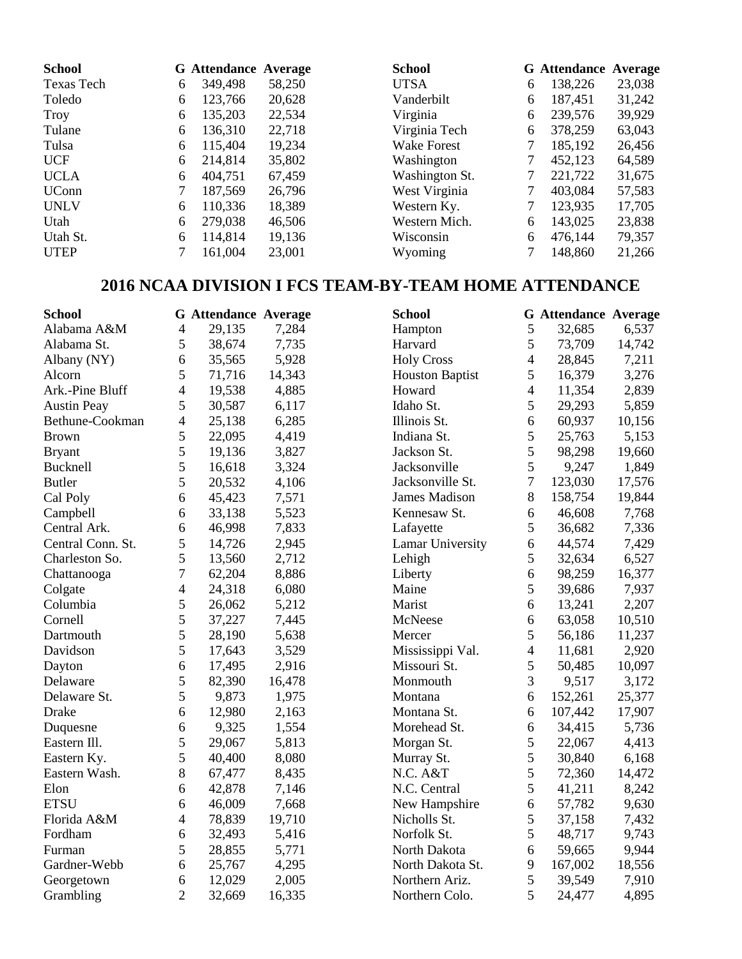| <b>School</b> |   | <b>G</b> Attendance Average |        | <b>School</b>      |   | <b>G</b> Attendance Average |        |
|---------------|---|-----------------------------|--------|--------------------|---|-----------------------------|--------|
| Texas Tech    | 6 | 349,498                     | 58,250 | <b>UTSA</b>        | 6 | 138,226                     | 23,038 |
| Toledo        | 6 | 123,766                     | 20,628 | Vanderbilt         | 6 | 187,451                     | 31,242 |
| Troy          | 6 | 135,203                     | 22,534 | Virginia           | 6 | 239,576                     | 39,929 |
| Tulane        | 6 | 136,310                     | 22,718 | Virginia Tech      | 6 | 378,259                     | 63,043 |
| Tulsa         | 6 | 115,404                     | 19,234 | <b>Wake Forest</b> |   | 185,192                     | 26,456 |
| <b>UCF</b>    | 6 | 214,814                     | 35,802 | Washington         |   | 452,123                     | 64,589 |
| <b>UCLA</b>   | 6 | 404,751                     | 67,459 | Washington St.     | 7 | 221,722                     | 31,675 |
| <b>UConn</b>  |   | 187,569                     | 26,796 | West Virginia      |   | 403,084                     | 57,583 |
| <b>UNLV</b>   | 6 | 110,336                     | 18,389 | Western Ky.        |   | 123,935                     | 17,705 |
| Utah          | 6 | 279,038                     | 46,506 | Western Mich.      | 6 | 143,025                     | 23,838 |
| Utah St.      | 6 | 114,814                     | 19,136 | Wisconsin          | 6 | 476,144                     | 79,357 |
| <b>UTEP</b>   |   | 161,004                     | 23,001 | Wyoming            |   | 148,860                     | 21,266 |

## **2016 NCAA DIVISION I FCS TEAM-BY-TEAM HOME ATTENDANCE**

| <b>School</b>      |                | <b>G</b> Attendance Average |        | <b>School</b>           |                | <b>G</b> Attendance Average |        |
|--------------------|----------------|-----------------------------|--------|-------------------------|----------------|-----------------------------|--------|
| Alabama A&M        | $\overline{4}$ | 29,135                      | 7,284  | Hampton                 | $\mathfrak s$  | 32,685                      | 6,537  |
| Alabama St.        | 5              | 38,674                      | 7,735  | Harvard                 | 5              | 73,709                      | 14,742 |
| Albany (NY)        | 6              | 35,565                      | 5,928  | <b>Holy Cross</b>       | $\overline{4}$ | 28,845                      | 7,211  |
| Alcorn             | 5              | 71,716                      | 14,343 | <b>Houston Baptist</b>  | 5              | 16,379                      | 3,276  |
| Ark.-Pine Bluff    | $\overline{4}$ | 19,538                      | 4,885  | Howard                  | 4              | 11,354                      | 2,839  |
| <b>Austin Peay</b> | 5              | 30,587                      | 6,117  | Idaho St.               | 5              | 29,293                      | 5,859  |
| Bethune-Cookman    | 4              | 25,138                      | 6,285  | Illinois St.            | 6              | 60,937                      | 10,156 |
| <b>Brown</b>       | 5              | 22,095                      | 4,419  | Indiana St.             | 5              | 25,763                      | 5,153  |
| <b>Bryant</b>      | 5              | 19,136                      | 3,827  | Jackson St.             | 5              | 98,298                      | 19,660 |
| <b>Bucknell</b>    | 5              | 16,618                      | 3,324  | Jacksonville            | 5              | 9,247                       | 1,849  |
| <b>Butler</b>      | 5              | 20,532                      | 4,106  | Jacksonville St.        | $\overline{7}$ | 123,030                     | 17,576 |
| Cal Poly           | 6              | 45,423                      | 7,571  | <b>James Madison</b>    | $8\,$          | 158,754                     | 19,844 |
| Campbell           | 6              | 33,138                      | 5,523  | Kennesaw St.            | 6              | 46,608                      | 7,768  |
| Central Ark.       | 6              | 46,998                      | 7,833  | Lafayette               | 5              | 36,682                      | 7,336  |
| Central Conn. St.  | 5              | 14,726                      | 2,945  | <b>Lamar University</b> | 6              | 44,574                      | 7,429  |
| Charleston So.     | 5              | 13,560                      | 2,712  | Lehigh                  | 5              | 32,634                      | 6,527  |
| Chattanooga        | 7              | 62,204                      | 8,886  | Liberty                 | 6              | 98,259                      | 16,377 |
| Colgate            | 4              | 24,318                      | 6,080  | Maine                   | 5              | 39,686                      | 7,937  |
| Columbia           | 5              | 26,062                      | 5,212  | Marist                  | 6              | 13,241                      | 2,207  |
| Cornell            | 5              | 37,227                      | 7,445  | McNeese                 | 6              | 63,058                      | 10,510 |
| Dartmouth          | 5              | 28,190                      | 5,638  | Mercer                  | 5              | 56,186                      | 11,237 |
| Davidson           | 5              | 17,643                      | 3,529  | Mississippi Val.        | $\overline{4}$ | 11,681                      | 2,920  |
| Dayton             | 6              | 17,495                      | 2,916  | Missouri St.            | 5              | 50,485                      | 10,097 |
| Delaware           | 5              | 82,390                      | 16,478 | Monmouth                | 3              | 9,517                       | 3,172  |
| Delaware St.       | 5              | 9,873                       | 1,975  | Montana                 | 6              | 152,261                     | 25,377 |
| <b>Drake</b>       | 6              | 12,980                      | 2,163  | Montana St.             | 6              | 107,442                     | 17,907 |
| Duquesne           | 6              | 9,325                       | 1,554  | Morehead St.            | 6              | 34,415                      | 5,736  |
| Eastern Ill.       | 5              | 29,067                      | 5,813  | Morgan St.              | 5              | 22,067                      | 4,413  |
| Eastern Ky.        | 5              | 40,400                      | 8,080  | Murray St.              | 5              | 30,840                      | 6,168  |
| Eastern Wash.      | 8              | 67,477                      | 8,435  | N.C. A&T                | 5              | 72,360                      | 14,472 |
| Elon               | 6              | 42,878                      | 7,146  | N.C. Central            | 5              | 41,211                      | 8,242  |
| <b>ETSU</b>        | 6              | 46,009                      | 7,668  | New Hampshire           | 6              | 57,782                      | 9,630  |
| Florida A&M        | 4              | 78,839                      | 19,710 | Nicholls St.            | 5              | 37,158                      | 7,432  |
| Fordham            | 6              | 32,493                      | 5,416  | Norfolk St.             | 5              | 48,717                      | 9,743  |
| Furman             | 5              | 28,855                      | 5,771  | North Dakota            | 6              | 59,665                      | 9,944  |
| Gardner-Webb       | 6              | 25,767                      | 4,295  | North Dakota St.        | 9              | 167,002                     | 18,556 |
| Georgetown         | 6              | 12,029                      | 2,005  | Northern Ariz.          | 5              | 39,549                      | 7,910  |
| Grambling          | $\overline{2}$ | 32,669                      | 16,335 | Northern Colo.          | 5              | 24,477                      | 4,895  |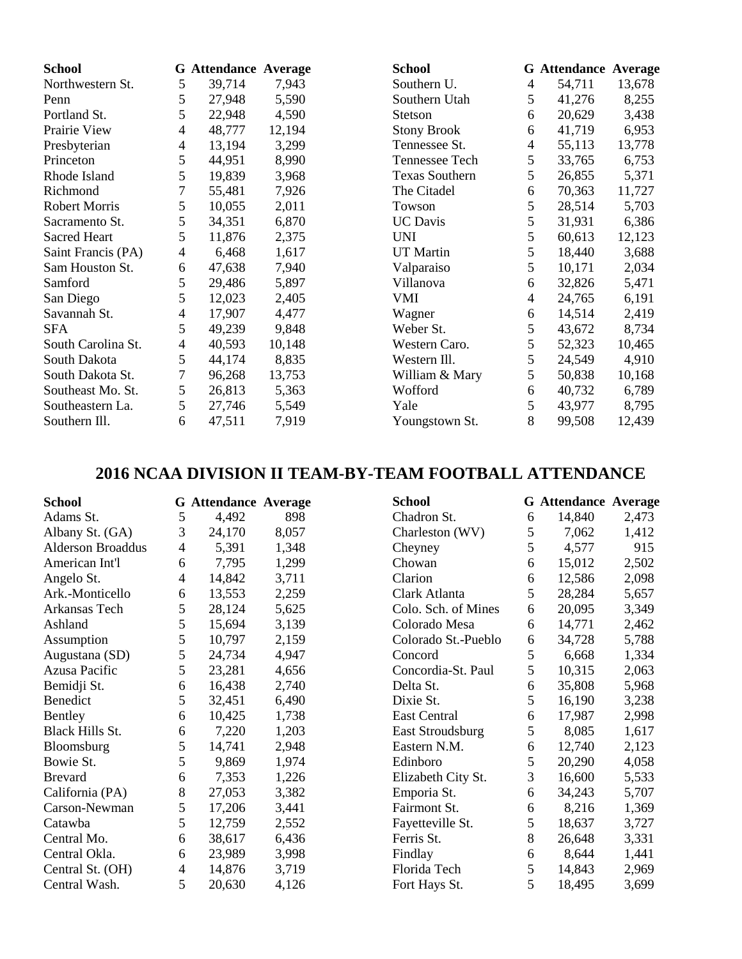| <b>School</b>        |   | <b>G</b> Attendance Average |        | <b>School</b>         |   | <b>G</b> Attendance Average |        |
|----------------------|---|-----------------------------|--------|-----------------------|---|-----------------------------|--------|
| Northwestern St.     | 5 | 39,714                      | 7,943  | Southern U.           | 4 | 54,711                      | 13,678 |
| Penn                 | 5 | 27,948                      | 5,590  | Southern Utah         | 5 | 41,276                      | 8,255  |
| Portland St.         | 5 | 22,948                      | 4,590  | <b>Stetson</b>        | 6 | 20,629                      | 3,438  |
| Prairie View         | 4 | 48,777                      | 12,194 | <b>Stony Brook</b>    | 6 | 41,719                      | 6,953  |
| Presbyterian         | 4 | 13,194                      | 3,299  | Tennessee St.         | 4 | 55,113                      | 13,778 |
| Princeton            | 5 | 44,951                      | 8,990  | Tennessee Tech        | 5 | 33,765                      | 6,753  |
| Rhode Island         | 5 | 19,839                      | 3,968  | <b>Texas Southern</b> | 5 | 26,855                      | 5,371  |
| Richmond             | 7 | 55,481                      | 7,926  | The Citadel           | 6 | 70,363                      | 11,727 |
| <b>Robert Morris</b> | 5 | 10,055                      | 2,011  | Towson                | 5 | 28,514                      | 5,703  |
| Sacramento St.       | 5 | 34,351                      | 6,870  | <b>UC</b> Davis       | 5 | 31,931                      | 6,386  |
| <b>Sacred Heart</b>  | 5 | 11,876                      | 2,375  | <b>UNI</b>            | 5 | 60,613                      | 12,123 |
| Saint Francis (PA)   | 4 | 6,468                       | 1,617  | <b>UT</b> Martin      | 5 | 18,440                      | 3,688  |
| Sam Houston St.      | 6 | 47,638                      | 7,940  | Valparaiso            | 5 | 10,171                      | 2,034  |
| Samford              | 5 | 29,486                      | 5,897  | Villanova             | 6 | 32,826                      | 5,471  |
| San Diego            | 5 | 12,023                      | 2,405  | VMI                   | 4 | 24,765                      | 6,191  |
| Savannah St.         | 4 | 17,907                      | 4,477  | Wagner                | 6 | 14,514                      | 2,419  |
| SFA                  | 5 | 49,239                      | 9,848  | Weber St.             | 5 | 43,672                      | 8,734  |
| South Carolina St.   | 4 | 40,593                      | 10,148 | Western Caro.         | 5 | 52,323                      | 10,465 |
| South Dakota         | 5 | 44,174                      | 8,835  | Western Ill.          | 5 | 24,549                      | 4,910  |
| South Dakota St.     | 7 | 96,268                      | 13,753 | William & Mary        | 5 | 50,838                      | 10,168 |
| Southeast Mo. St.    | 5 | 26,813                      | 5,363  | Wofford               | 6 | 40,732                      | 6,789  |
| Southeastern La.     | 5 | 27,746                      | 5,549  | Yale                  | 5 | 43,977                      | 8,795  |
| Southern Ill.        | 6 | 47,511                      | 7,919  | Youngstown St.        | 8 | 99,508                      | 12,439 |

### **2016 NCAA DIVISION II TEAM-BY-TEAM FOOTBALL ATTENDANCE**

| <b>School</b>            |                | <b>G</b> Attendance Average |       | <b>School</b>           |   | <b>G</b> Attendance Average |       |
|--------------------------|----------------|-----------------------------|-------|-------------------------|---|-----------------------------|-------|
| Adams St.                | 5              | 4,492                       | 898   | Chadron St.             | 6 | 14,840                      | 2,473 |
| Albany St. (GA)          | 3              | 24,170                      | 8,057 | Charleston (WV)         | 5 | 7,062                       | 1,412 |
| <b>Alderson Broaddus</b> | $\overline{4}$ | 5,391                       | 1,348 | Cheyney                 | 5 | 4,577                       | 915   |
| American Int'l           | 6              | 7,795                       | 1,299 | Chowan                  | 6 | 15,012                      | 2,502 |
| Angelo St.               | 4              | 14,842                      | 3,711 | Clarion                 | 6 | 12,586                      | 2,098 |
| Ark.-Monticello          | 6              | 13,553                      | 2,259 | Clark Atlanta           | 5 | 28,284                      | 5,657 |
| Arkansas Tech            | 5              | 28,124                      | 5,625 | Colo. Sch. of Mines     | 6 | 20,095                      | 3,349 |
| Ashland                  | 5              | 15,694                      | 3,139 | Colorado Mesa           | 6 | 14,771                      | 2,462 |
| Assumption               | 5              | 10,797                      | 2,159 | Colorado St.-Pueblo     | 6 | 34,728                      | 5,788 |
| Augustana (SD)           | 5              | 24,734                      | 4,947 | Concord                 | 5 | 6,668                       | 1,334 |
| Azusa Pacific            | 5              | 23,281                      | 4,656 | Concordia-St. Paul      | 5 | 10,315                      | 2,063 |
| Bemidji St.              | 6              | 16,438                      | 2,740 | Delta St.               | 6 | 35,808                      | 5,968 |
| Benedict                 | 5              | 32,451                      | 6,490 | Dixie St.               | 5 | 16,190                      | 3,238 |
| Bentley                  | 6              | 10,425                      | 1,738 | <b>East Central</b>     | 6 | 17,987                      | 2,998 |
| <b>Black Hills St.</b>   | 6              | 7,220                       | 1,203 | <b>East Stroudsburg</b> | 5 | 8,085                       | 1,617 |
| Bloomsburg               | 5              | 14,741                      | 2,948 | Eastern N.M.            | 6 | 12,740                      | 2,123 |
| Bowie St.                | 5              | 9,869                       | 1,974 | Edinboro                | 5 | 20,290                      | 4,058 |
| <b>Brevard</b>           | 6              | 7,353                       | 1,226 | Elizabeth City St.      | 3 | 16,600                      | 5,533 |
| California (PA)          | 8              | 27,053                      | 3,382 | Emporia St.             | 6 | 34,243                      | 5,707 |
| Carson-Newman            | 5              | 17,206                      | 3,441 | Fairmont St.            | 6 | 8,216                       | 1,369 |
| Catawba                  | 5              | 12,759                      | 2,552 | Fayetteville St.        | 5 | 18,637                      | 3,727 |
| Central Mo.              | 6              | 38,617                      | 6,436 | Ferris St.              | 8 | 26,648                      | 3,331 |
| Central Okla.            | 6              | 23,989                      | 3,998 | Findlay                 | 6 | 8,644                       | 1,441 |
| Central St. (OH)         | 4              | 14,876                      | 3,719 | Florida Tech            | 5 | 14,843                      | 2,969 |
| Central Wash.            | 5              | 20,630                      | 4,126 | Fort Hays St.           | 5 | 18,495                      | 3,699 |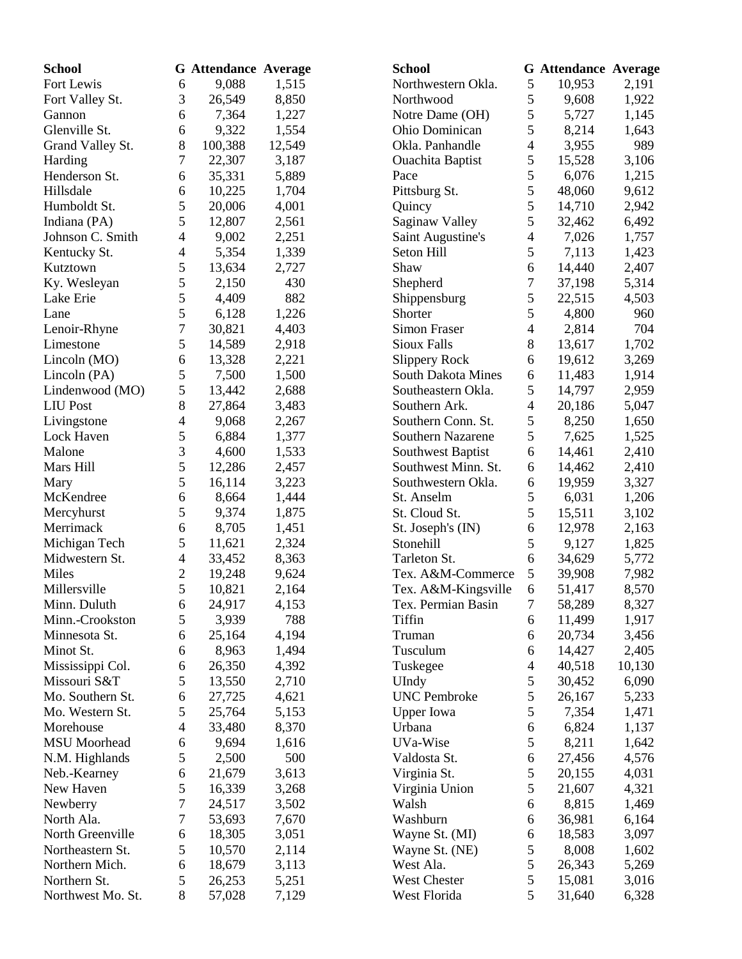| <b>School</b>       |                | <b>G</b> Attendance Average |        | <b>School</b>             |                | <b>G</b> Attendance Average |        |
|---------------------|----------------|-----------------------------|--------|---------------------------|----------------|-----------------------------|--------|
| Fort Lewis          | 6              | 9,088                       | 1,515  | Northwestern Okla.        | 5              | 10,953                      | 2,191  |
| Fort Valley St.     | 3              | 26,549                      | 8,850  | Northwood                 | 5              | 9,608                       | 1,922  |
| Gannon              | 6              | 7,364                       | 1,227  | Notre Dame (OH)           | 5              | 5,727                       | 1,145  |
| Glenville St.       | 6              | 9,322                       | 1,554  | Ohio Dominican            | 5              | 8,214                       | 1,643  |
| Grand Valley St.    | 8              | 100,388                     | 12,549 | Okla. Panhandle           | $\overline{4}$ | 3,955                       | 989    |
| Harding             | 7              | 22,307                      | 3,187  | <b>Ouachita Baptist</b>   | 5              | 15,528                      | 3,106  |
| Henderson St.       | 6              | 35,331                      | 5,889  | Pace                      | 5              | 6,076                       | 1,215  |
| Hillsdale           | 6              | 10,225                      | 1,704  | Pittsburg St.             | 5              | 48,060                      | 9,612  |
| Humboldt St.        | 5              | 20,006                      | 4,001  | Quincy                    | 5              | 14,710                      | 2,942  |
| Indiana (PA)        | 5              | 12,807                      | 2,561  | <b>Saginaw Valley</b>     | 5              | 32,462                      | 6,492  |
| Johnson C. Smith    | 4              | 9,002                       | 2,251  | Saint Augustine's         | $\overline{4}$ | 7,026                       | 1,757  |
| Kentucky St.        | 4              | 5,354                       | 1,339  | Seton Hill                | 5              | 7,113                       | 1,423  |
| Kutztown            | 5              | 13,634                      | 2,727  | Shaw                      | 6              | 14,440                      | 2,407  |
| Ky. Wesleyan        | 5              | 2,150                       | 430    | Shepherd                  | 7              | 37,198                      | 5,314  |
| Lake Erie           | 5              | 4,409                       | 882    | Shippensburg              | 5              | 22,515                      | 4,503  |
| Lane                | 5              | 6,128                       | 1,226  | Shorter                   | 5              | 4,800                       | 960    |
| Lenoir-Rhyne        | 7              | 30,821                      | 4,403  | Simon Fraser              | $\overline{4}$ | 2,814                       | 704    |
| Limestone           | 5              | 14,589                      | 2,918  | <b>Sioux Falls</b>        | 8              | 13,617                      | 1,702  |
| Lincoln (MO)        | 6              | 13,328                      | 2,221  | <b>Slippery Rock</b>      | 6              | 19,612                      | 3,269  |
| Lincoln (PA)        | 5              | 7,500                       | 1,500  | <b>South Dakota Mines</b> | 6              | 11,483                      | 1,914  |
| Lindenwood (MO)     | 5              | 13,442                      | 2,688  | Southeastern Okla.        | 5              | 14,797                      | 2,959  |
| <b>LIU</b> Post     | 8              | 27,864                      | 3,483  | Southern Ark.             | $\overline{4}$ | 20,186                      | 5,047  |
| Livingstone         | 4              | 9,068                       | 2,267  | Southern Conn. St.        | 5              | 8,250                       | 1,650  |
| Lock Haven          | 5              | 6,884                       | 1,377  | <b>Southern Nazarene</b>  | 5              | 7,625                       | 1,525  |
| Malone              | 3              | 4,600                       | 1,533  | Southwest Baptist         | 6              | 14,461                      | 2,410  |
| Mars Hill           | 5              | 12,286                      | 2,457  | Southwest Minn. St.       | 6              | 14,462                      | 2,410  |
| Mary                | 5              | 16,114                      | 3,223  | Southwestern Okla.        | 6              | 19,959                      | 3,327  |
| McKendree           | 6              | 8,664                       | 1,444  | St. Anselm                | 5              | 6,031                       | 1,206  |
| Mercyhurst          | 5              | 9,374                       | 1,875  | St. Cloud St.             | 5              | 15,511                      | 3,102  |
| Merrimack           | 6              | 8,705                       | 1,451  | St. Joseph's (IN)         | 6              | 12,978                      | 2,163  |
| Michigan Tech       | 5              | 11,621                      | 2,324  | Stonehill                 | 5              | 9,127                       | 1,825  |
| Midwestern St.      | 4              | 33,452                      | 8,363  | Tarleton St.              | 6              | 34,629                      | 5,772  |
| Miles               | $\overline{c}$ | 19,248                      | 9,624  | Tex. A&M-Commerce         | 5              | 39,908                      | 7,982  |
| Millersville        | 5              | 10,821                      | 2,164  | Tex. A&M-Kingsville       | 6              | 51,417                      | 8,570  |
| Minn. Duluth        | 6              | 24,917                      | 4,153  | Tex. Permian Basin        | 7              | 58,289                      | 8,327  |
| Minn.-Crookston     | 5              | 3,939                       | 788    | Tiffin                    | 6              | 11,499                      | 1,917  |
| Minnesota St.       | 6              | 25,164                      | 4,194  | Truman                    | 6              | 20,734                      | 3,456  |
| Minot St.           | 6              | 8,963                       | 1,494  | Tusculum                  | 6              | 14,427                      | 2,405  |
| Mississippi Col.    | 6              | 26,350                      | 4,392  | Tuskegee                  | 4              | 40,518                      | 10,130 |
| Missouri S&T        | 5              | 13,550                      | 2,710  | UIndy                     | 5              | 30,452                      | 6,090  |
| Mo. Southern St.    | 6              | 27,725                      | 4,621  | <b>UNC</b> Pembroke       | 5              | 26,167                      | 5,233  |
| Mo. Western St.     | 5              | 25,764                      | 5,153  | <b>Upper Iowa</b>         | 5              | 7,354                       | 1,471  |
| Morehouse           | 4              |                             | 8,370  | Urbana                    | 6              | 6,824                       | 1,137  |
| <b>MSU</b> Moorhead |                | 33,480<br>9,694             | 1,616  | UVa-Wise                  | $\mathfrak s$  | 8,211                       | 1,642  |
|                     | 6<br>5         |                             | 500    | Valdosta St.              |                |                             | 4,576  |
| N.M. Highlands      |                | 2,500                       |        |                           | 6<br>5         | 27,456                      |        |
| Neb.-Kearney        | 6<br>5         | 21,679                      | 3,613  | Virginia St.              | 5              | 20,155                      | 4,031  |
| New Haven           |                | 16,339                      | 3,268  | Virginia Union            |                | 21,607                      | 4,321  |
| Newberry            | 7              | 24,517                      | 3,502  | Walsh                     | 6              | 8,815                       | 1,469  |
| North Ala.          | 7              | 53,693                      | 7,670  | Washburn                  | 6              | 36,981                      | 6,164  |
| North Greenville    | 6              | 18,305                      | 3,051  | Wayne St. (MI)            | 6              | 18,583                      | 3,097  |
| Northeastern St.    | 5              | 10,570                      | 2,114  | Wayne St. (NE)            | 5              | 8,008                       | 1,602  |
| Northern Mich.      | 6              | 18,679                      | 3,113  | West Ala.                 | 5              | 26,343                      | 5,269  |
| Northern St.        | 5              | 26,253                      | 5,251  | West Chester              | $\mathfrak{S}$ | 15,081                      | 3,016  |
| Northwest Mo. St.   | 8              | 57,028                      | 7,129  | West Florida              | 5              | 31,640                      | 6,328  |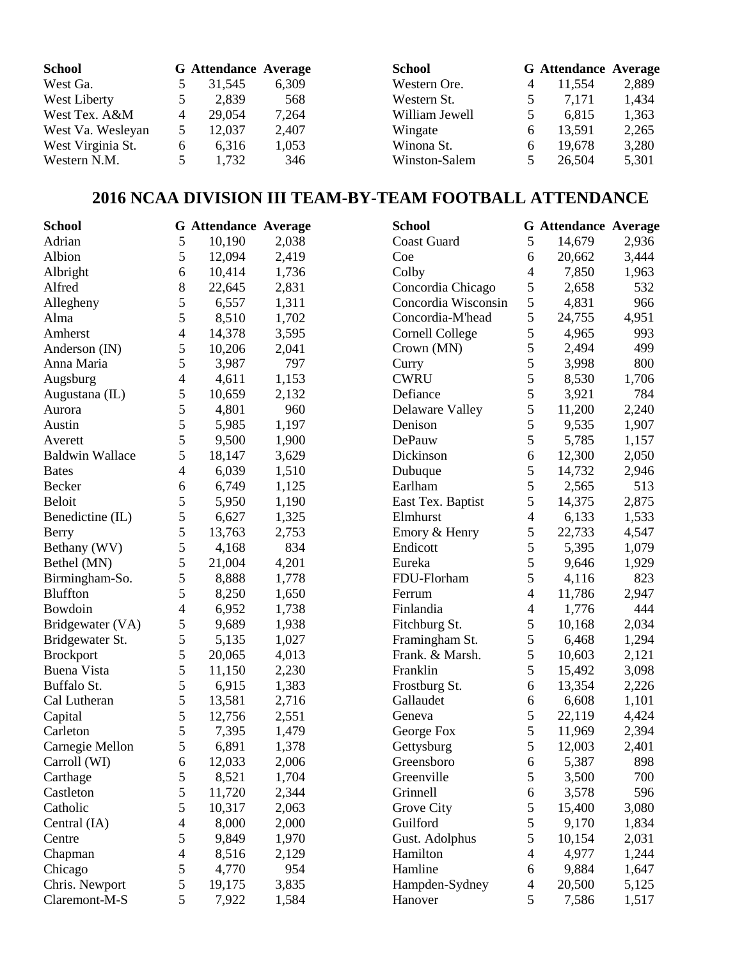| <b>School</b>     |   | <b>G</b> Attendance Average |       | <b>School</b>  | <b>G</b> Attendance Average |       |
|-------------------|---|-----------------------------|-------|----------------|-----------------------------|-------|
| West Ga.          |   | 31.545                      | 6,309 | Western Ore.   | 11.554                      | 2,889 |
| West Liberty      |   | 2,839                       | 568   | Western St.    | 7.171                       | 1,434 |
| West Tex. A&M     | 4 | 29,054                      | 7,264 | William Jewell | 6.815                       | 1,363 |
| West Va. Wesleyan |   | 12,037                      | 2,407 | Wingate        | 13,591                      | 2,265 |
| West Virginia St. | 6 | 6.316                       | 1,053 | Winona St.     | 19,678                      | 3,280 |
| Western N.M.      |   | 1,732                       | 346   | Winston-Salem  | 26,504                      | 5,301 |

# **2016 NCAA DIVISION III TEAM-BY-TEAM FOOTBALL ATTENDANCE**

| <b>School</b>          |                | <b>G</b> Attendance Average |       | <b>School</b>          |                          | <b>G</b> Attendance Average |       |
|------------------------|----------------|-----------------------------|-------|------------------------|--------------------------|-----------------------------|-------|
| Adrian                 | 5              | 10,190                      | 2,038 | <b>Coast Guard</b>     | 5                        | 14,679                      | 2,936 |
| Albion                 | 5              | 12,094                      | 2,419 | Coe                    | 6                        | 20,662                      | 3,444 |
| Albright               | 6              | 10,414                      | 1,736 | Colby                  | $\overline{4}$           | 7,850                       | 1,963 |
| Alfred                 | 8              | 22,645                      | 2,831 | Concordia Chicago      | 5                        | 2,658                       | 532   |
| Allegheny              | 5              | 6,557                       | 1,311 | Concordia Wisconsin    | 5                        | 4,831                       | 966   |
| Alma                   | 5              | 8,510                       | 1,702 | Concordia-M'head       | 5                        | 24,755                      | 4,951 |
| Amherst                | $\overline{4}$ | 14,378                      | 3,595 | <b>Cornell College</b> | $\mathfrak{S}$           | 4,965                       | 993   |
| Anderson (IN)          | 5              | 10,206                      | 2,041 | Crown (MN)             | 5                        | 2,494                       | 499   |
| Anna Maria             | 5              | 3,987                       | 797   | Curry                  | 5                        | 3,998                       | 800   |
| Augsburg               | $\overline{4}$ | 4,611                       | 1,153 | <b>CWRU</b>            | 5                        | 8,530                       | 1,706 |
| Augustana (IL)         | 5              | 10,659                      | 2,132 | Defiance               | 5                        | 3,921                       | 784   |
| Aurora                 | 5              | 4,801                       | 960   | Delaware Valley        | 5                        | 11,200                      | 2,240 |
| Austin                 | 5              | 5,985                       | 1,197 | Denison                | 5                        | 9,535                       | 1,907 |
| Averett                | 5              | 9,500                       | 1,900 | DePauw                 | 5                        | 5,785                       | 1,157 |
| <b>Baldwin Wallace</b> | 5              | 18,147                      | 3,629 | Dickinson              | $\boldsymbol{6}$         | 12,300                      | 2,050 |
| <b>Bates</b>           | $\overline{4}$ | 6,039                       | 1,510 | Dubuque                | 5                        | 14,732                      | 2,946 |
| Becker                 | 6              | 6,749                       | 1,125 | Earlham                | 5                        | 2,565                       | 513   |
| <b>Beloit</b>          | 5              | 5,950                       | 1,190 | East Tex. Baptist      | 5                        | 14,375                      | 2,875 |
| Benedictine (IL)       | 5              | 6,627                       | 1,325 | Elmhurst               | $\overline{4}$           | 6,133                       | 1,533 |
| Berry                  | 5              | 13,763                      | 2,753 | Emory & Henry          | 5                        | 22,733                      | 4,547 |
| Bethany (WV)           | 5              | 4,168                       | 834   | Endicott               | 5                        | 5,395                       | 1,079 |
| Bethel (MN)            | 5              | 21,004                      | 4,201 | Eureka                 | 5                        | 9,646                       | 1,929 |
| Birmingham-So.         | 5              | 8,888                       | 1,778 | FDU-Florham            | 5                        | 4,116                       | 823   |
| <b>Bluffton</b>        | 5              | 8,250                       | 1,650 | Ferrum                 | $\overline{4}$           | 11,786                      | 2,947 |
| Bowdoin                | 4              | 6,952                       | 1,738 | Finlandia              | $\overline{4}$           | 1,776                       | 444   |
| Bridgewater (VA)       | 5              | 9,689                       | 1,938 | Fitchburg St.          | 5                        | 10,168                      | 2,034 |
| Bridgewater St.        | 5              | 5,135                       | 1,027 | Framingham St.         | 5                        | 6,468                       | 1,294 |
| <b>Brockport</b>       | 5              | 20,065                      | 4,013 | Frank. & Marsh.        | 5                        | 10,603                      | 2,121 |
| Buena Vista            | 5              | 11,150                      | 2,230 | Franklin               | 5                        | 15,492                      | 3,098 |
| Buffalo St.            | 5              | 6,915                       | 1,383 | Frostburg St.          | 6                        | 13,354                      | 2,226 |
| Cal Lutheran           | 5              | 13,581                      | 2,716 | Gallaudet              | 6                        | 6,608                       | 1,101 |
| Capital                | 5              | 12,756                      | 2,551 | Geneva                 | 5                        | 22,119                      | 4,424 |
| Carleton               | 5              | 7,395                       | 1,479 | George Fox             | $\mathfrak{S}$           | 11,969                      | 2,394 |
| Carnegie Mellon        | $\mathfrak s$  | 6,891                       | 1,378 | Gettysburg             | 5                        | 12,003                      | 2,401 |
| Carroll (WI)           | 6              | 12,033                      | 2,006 | Greensboro             | 6                        | 5,387                       | 898   |
| Carthage               | 5              | 8,521                       | 1,704 | Greenville             | 5                        | 3,500                       | 700   |
| Castleton              | 5              | 11,720                      | 2,344 | Grinnell               | 6                        | 3,578                       | 596   |
| Catholic               | 5              | 10,317                      | 2,063 | Grove City             | 5                        | 15,400                      | 3,080 |
| Central (IA)           | 4              | 8,000                       | 2,000 | Guilford               | 5                        | 9,170                       | 1,834 |
| Centre                 | 5              | 9,849                       | 1,970 | Gust. Adolphus         | 5                        | 10,154                      | 2,031 |
| Chapman                | 4              | 8,516                       | 2,129 | Hamilton               | $\overline{4}$           | 4,977                       | 1,244 |
| Chicago                | 5              | 4,770                       | 954   | Hamline                | 6                        | 9,884                       | 1,647 |
| Chris. Newport         | $\mathfrak s$  | 19,175                      | 3,835 | Hampden-Sydney         | $\overline{\mathcal{A}}$ | 20,500                      | 5,125 |
| Claremont-M-S          | $\mathfrak s$  | 7,922                       | 1,584 | Hanover                | 5                        | 7,586                       | 1,517 |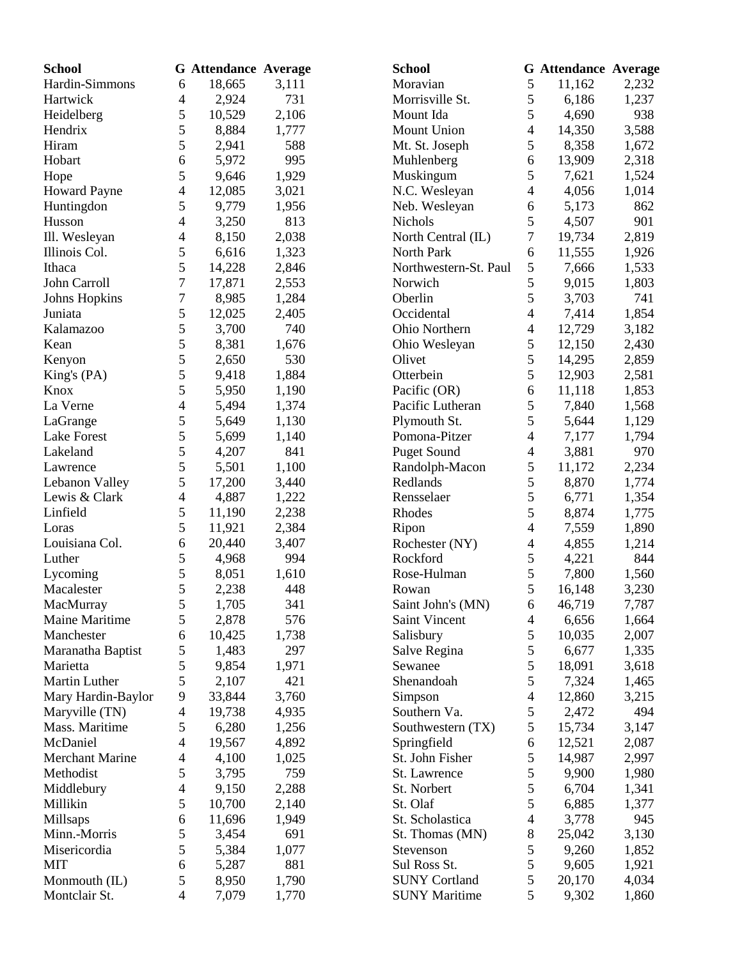| <b>School</b>          |                | <b>G</b> Attendance Average |       | <b>School</b>         |                          | <b>G</b> Attendance Average |       |
|------------------------|----------------|-----------------------------|-------|-----------------------|--------------------------|-----------------------------|-------|
| Hardin-Simmons         | 6              | 18,665                      | 3,111 | Moravian              | 5                        | 11,162                      | 2,232 |
| Hartwick               | 4              | 2,924                       | 731   | Morrisville St.       | 5                        | 6,186                       | 1,237 |
| Heidelberg             | 5              | 10,529                      | 2,106 | Mount Ida             | 5                        | 4,690                       | 938   |
| Hendrix                | 5              | 8,884                       | 1,777 | Mount Union           | $\overline{4}$           | 14,350                      | 3,588 |
| Hiram                  | 5              | 2,941                       | 588   | Mt. St. Joseph        | 5                        | 8,358                       | 1,672 |
| Hobart                 | 6              | 5,972                       | 995   | Muhlenberg            | 6                        | 13,909                      | 2,318 |
| Hope                   | 5              | 9,646                       | 1,929 | Muskingum             | 5                        | 7,621                       | 1,524 |
| <b>Howard Payne</b>    | 4              | 12,085                      | 3,021 | N.C. Wesleyan         | $\overline{4}$           | 4,056                       | 1,014 |
| Huntingdon             | 5              | 9,779                       | 1,956 | Neb. Wesleyan         | 6                        | 5,173                       | 862   |
| Husson                 | 4              | 3,250                       | 813   | <b>Nichols</b>        | 5                        | 4,507                       | 901   |
| Ill. Wesleyan          | 4              | 8,150                       | 2,038 | North Central (IL)    | 7                        | 19,734                      | 2,819 |
| Illinois Col.          | 5              | 6,616                       | 1,323 | North Park            | 6                        | 11,555                      | 1,926 |
| Ithaca                 | 5              | 14,228                      | 2,846 | Northwestern-St. Paul | 5                        | 7,666                       | 1,533 |
| John Carroll           | 7              | 17,871                      | 2,553 | Norwich               | 5                        | 9,015                       | 1,803 |
| <b>Johns Hopkins</b>   | 7              | 8,985                       | 1,284 | Oberlin               | 5                        | 3,703                       | 741   |
| Juniata                | 5              | 12,025                      | 2,405 | Occidental            | $\overline{4}$           | 7,414                       | 1,854 |
| Kalamazoo              | 5              | 3,700                       | 740   | Ohio Northern         | $\overline{4}$           | 12,729                      | 3,182 |
| Kean                   | 5              | 8,381                       | 1,676 | Ohio Wesleyan         | 5                        | 12,150                      | 2,430 |
| Kenyon                 | 5              | 2,650                       | 530   | Olivet                | 5                        | 14,295                      | 2,859 |
| King's (PA)            | 5              | 9,418                       | 1,884 | Otterbein             | 5                        | 12,903                      | 2,581 |
| Knox                   | 5              | 5,950                       | 1,190 | Pacific (OR)          | 6                        | 11,118                      | 1,853 |
| La Verne               | 4              | 5,494                       | 1,374 | Pacific Lutheran      | 5                        | 7,840                       | 1,568 |
| LaGrange               | 5              | 5,649                       | 1,130 | Plymouth St.          | 5                        | 5,644                       | 1,129 |
| <b>Lake Forest</b>     | 5              | 5,699                       | 1,140 | Pomona-Pitzer         | $\overline{4}$           | 7,177                       | 1,794 |
| Lakeland               | 5              | 4,207                       | 841   | <b>Puget Sound</b>    | $\overline{4}$           | 3,881                       | 970   |
| Lawrence               | 5              | 5,501                       | 1,100 | Randolph-Macon        | 5                        | 11,172                      | 2,234 |
| Lebanon Valley         | 5              | 17,200                      | 3,440 | Redlands              | 5                        | 8,870                       | 1,774 |
| Lewis & Clark          | 4              | 4,887                       | 1,222 | Rensselaer            | 5                        | 6,771                       | 1,354 |
| Linfield               | 5              | 11,190                      | 2,238 | Rhodes                | 5                        | 8,874                       | 1,775 |
| Loras                  | 5              | 11,921                      | 2,384 | Ripon                 | $\overline{4}$           | 7,559                       | 1,890 |
| Louisiana Col.         | 6              | 20,440                      | 3,407 | Rochester (NY)        | $\overline{4}$           | 4,855                       | 1,214 |
| Luther                 | 5              | 4,968                       | 994   | Rockford              | 5                        | 4,221                       | 844   |
| Lycoming               | 5              | 8,051                       | 1,610 | Rose-Hulman           | 5                        | 7,800                       | 1,560 |
| Macalester             | 5              | 2,238                       | 448   | Rowan                 | 5                        | 16,148                      | 3,230 |
| MacMurray              | 5              | 1,705                       | 341   | Saint John's (MN)     | 6                        | 46,719                      | 7,787 |
| Maine Maritime         | 5              | 2,878                       | 576   | Saint Vincent         | $\overline{\mathcal{A}}$ | 6,656                       | 1,664 |
| Manchester             | 6              | 10,425                      | 1,738 | Salisbury             | 5                        | 10,035                      | 2,007 |
| Maranatha Baptist      | 5              | 1,483                       | 297   | Salve Regina          | 5                        | 6,677                       | 1,335 |
| Marietta               | 5              | 9,854                       | 1,971 | Sewanee               | 5                        | 18,091                      | 3,618 |
| Martin Luther          | 5              | 2,107                       | 421   | Shenandoah            | 5                        | 7,324                       | 1,465 |
| Mary Hardin-Baylor     | 9              | 33,844                      | 3,760 | Simpson               | $\overline{\mathcal{A}}$ | 12,860                      | 3,215 |
| Maryville (TN)         | 4              | 19,738                      | 4,935 | Southern Va.          | 5                        | 2,472                       | 494   |
| Mass. Maritime         | 5              | 6,280                       | 1,256 | Southwestern (TX)     | 5                        | 15,734                      | 3,147 |
| McDaniel               | 4              | 19,567                      | 4,892 | Springfield           | 6                        | 12,521                      | 2,087 |
| <b>Merchant Marine</b> | 4              | 4,100                       | 1,025 | St. John Fisher       | 5                        | 14,987                      | 2,997 |
| Methodist              | 5              | 3,795                       | 759   | St. Lawrence          | 5                        | 9,900                       | 1,980 |
| Middlebury             | 4              | 9,150                       | 2,288 | St. Norbert           | 5                        | 6,704                       | 1,341 |
| Millikin               | 5              | 10,700                      | 2,140 | St. Olaf              | 5                        | 6,885                       | 1,377 |
| Millsaps               | 6              | 11,696                      | 1,949 | St. Scholastica       | 4                        | 3,778                       | 945   |
| Minn.-Morris           | 5              | 3,454                       | 691   | St. Thomas (MN)       | 8                        | 25,042                      | 3,130 |
| Misericordia           | 5              | 5,384                       | 1,077 | Stevenson             | 5                        | 9,260                       | 1,852 |
| <b>MIT</b>             | 6              | 5,287                       | 881   | Sul Ross St.          | 5                        | 9,605                       | 1,921 |
| Monmouth (IL)          | 5              | 8,950                       | 1,790 | <b>SUNY Cortland</b>  | 5                        | 20,170                      | 4,034 |
| Montclair St.          | $\overline{4}$ | 7,079                       | 1,770 | <b>SUNY Maritime</b>  | 5                        | 9,302                       | 1,860 |